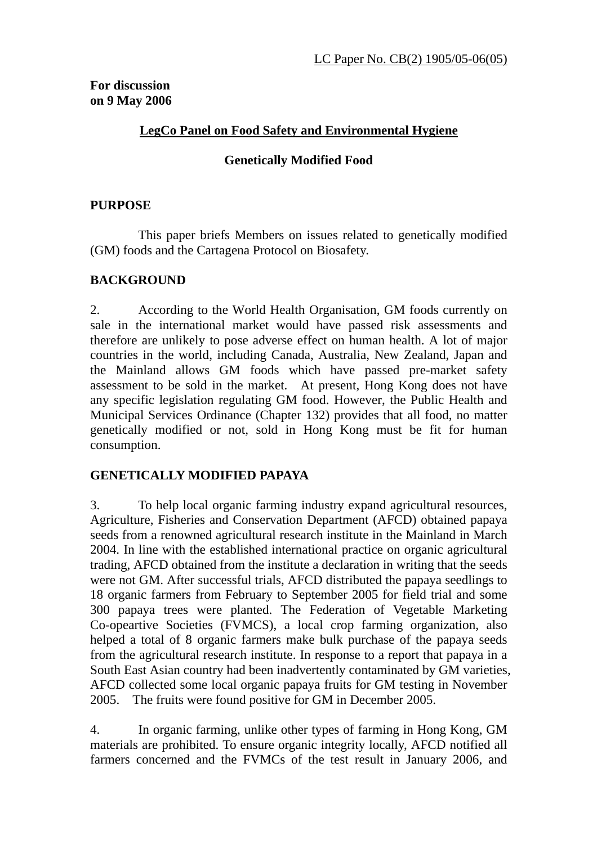## **LegCo Panel on Food Safety and Environmental Hygiene**

## **Genetically Modified Food**

## **PURPOSE**

 This paper briefs Members on issues related to genetically modified (GM) foods and the Cartagena Protocol on Biosafety.

#### **BACKGROUND**

2. According to the World Health Organisation, GM foods currently on sale in the international market would have passed risk assessments and therefore are unlikely to pose adverse effect on human health. A lot of major countries in the world, including Canada, Australia, New Zealand, Japan and the Mainland allows GM foods which have passed pre-market safety assessment to be sold in the market. At present, Hong Kong does not have any specific legislation regulating GM food. However, the Public Health and Municipal Services Ordinance (Chapter 132) provides that all food, no matter genetically modified or not, sold in Hong Kong must be fit for human consumption.

#### **GENETICALLY MODIFIED PAPAYA**

3. To help local organic farming industry expand agricultural resources, Agriculture, Fisheries and Conservation Department (AFCD) obtained papaya seeds from a renowned agricultural research institute in the Mainland in March 2004. In line with the established international practice on organic agricultural trading, AFCD obtained from the institute a declaration in writing that the seeds were not GM. After successful trials, AFCD distributed the papaya seedlings to 18 organic farmers from February to September 2005 for field trial and some 300 papaya trees were planted. The Federation of Vegetable Marketing Co-opeartive Societies (FVMCS), a local crop farming organization, also helped a total of 8 organic farmers make bulk purchase of the papaya seeds from the agricultural research institute. In response to a report that papaya in a South East Asian country had been inadvertently contaminated by GM varieties, AFCD collected some local organic papaya fruits for GM testing in November 2005. The fruits were found positive for GM in December 2005.

4. In organic farming, unlike other types of farming in Hong Kong, GM materials are prohibited. To ensure organic integrity locally, AFCD notified all farmers concerned and the FVMCs of the test result in January 2006, and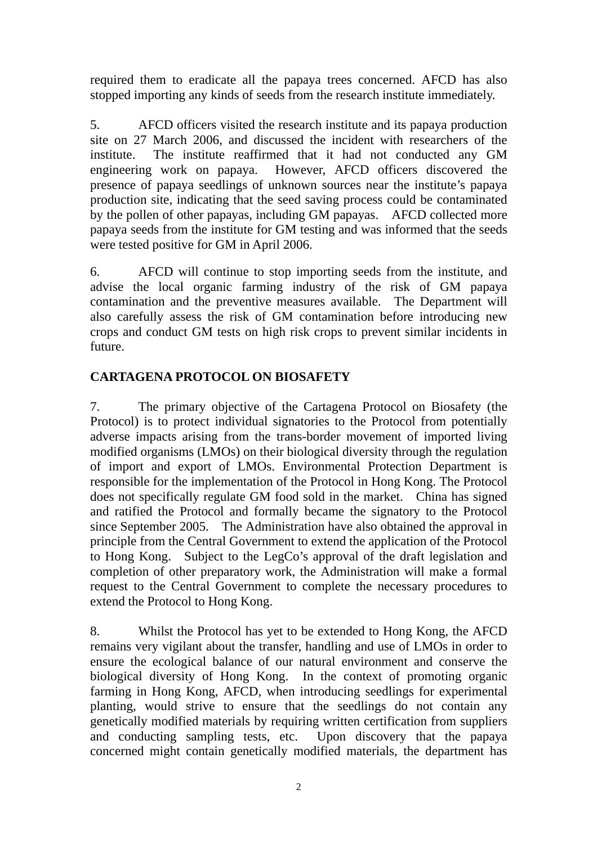required them to eradicate all the papaya trees concerned. AFCD has also stopped importing any kinds of seeds from the research institute immediately.

5. AFCD officers visited the research institute and its papaya production site on 27 March 2006, and discussed the incident with researchers of the institute. The institute reaffirmed that it had not conducted any GM engineering work on papaya. However, AFCD officers discovered the presence of papaya seedlings of unknown sources near the institute's papaya production site, indicating that the seed saving process could be contaminated by the pollen of other papayas, including GM papayas. AFCD collected more papaya seeds from the institute for GM testing and was informed that the seeds were tested positive for GM in April 2006.

6. AFCD will continue to stop importing seeds from the institute, and advise the local organic farming industry of the risk of GM papaya contamination and the preventive measures available. The Department will also carefully assess the risk of GM contamination before introducing new crops and conduct GM tests on high risk crops to prevent similar incidents in future.

# **CARTAGENA PROTOCOL ON BIOSAFETY**

7. The primary objective of the Cartagena Protocol on Biosafety (the Protocol) is to protect individual signatories to the Protocol from potentially adverse impacts arising from the trans-border movement of imported living modified organisms (LMOs) on their biological diversity through the regulation of import and export of LMOs. Environmental Protection Department is responsible for the implementation of the Protocol in Hong Kong. The Protocol does not specifically regulate GM food sold in the market. China has signed and ratified the Protocol and formally became the signatory to the Protocol since September 2005. The Administration have also obtained the approval in principle from the Central Government to extend the application of the Protocol to Hong Kong. Subject to the LegCo's approval of the draft legislation and completion of other preparatory work, the Administration will make a formal request to the Central Government to complete the necessary procedures to extend the Protocol to Hong Kong.

8. Whilst the Protocol has yet to be extended to Hong Kong, the AFCD remains very vigilant about the transfer, handling and use of LMOs in order to ensure the ecological balance of our natural environment and conserve the biological diversity of Hong Kong. In the context of promoting organic farming in Hong Kong, AFCD, when introducing seedlings for experimental planting, would strive to ensure that the seedlings do not contain any genetically modified materials by requiring written certification from suppliers and conducting sampling tests, etc. Upon discovery that the papaya concerned might contain genetically modified materials, the department has